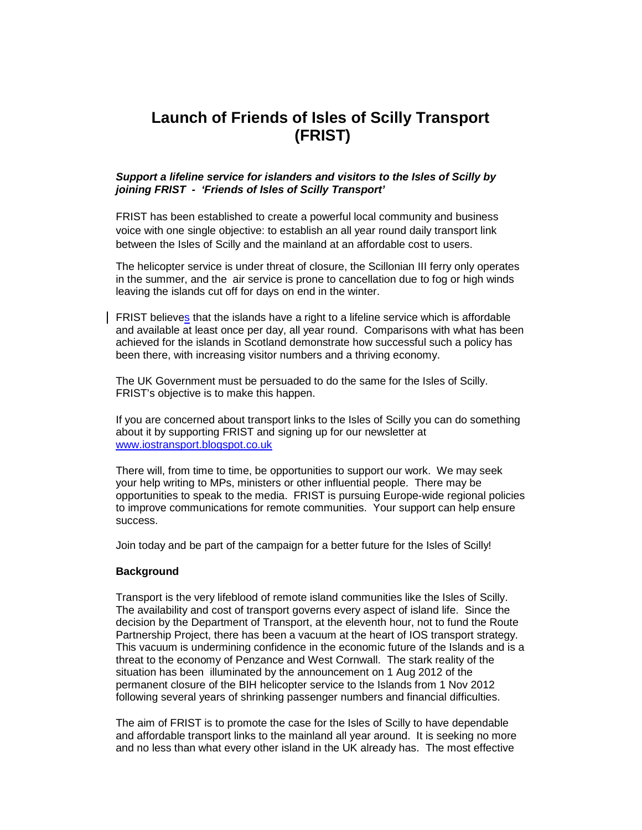# **Launch of Friends of Isles of Scilly Transport (FRIST)**

## **Support a lifeline service for islanders and visitors to the Isles of Scilly by joining FRIST - 'Friends of Isles of Scilly Transport'**

FRIST has been established to create a powerful local community and business voice with one single objective: to establish an all year round daily transport link between the Isles of Scilly and the mainland at an affordable cost to users.

The helicopter service is under threat of closure, the Scillonian III ferry only operates in the summer, and the air service is prone to cancellation due to fog or high winds leaving the islands cut off for days on end in the winter.

FRIST believes that the islands have a right to a lifeline service which is affordable and available at least once per day, all year round. Comparisons with what has been achieved for the islands in Scotland demonstrate how successful such a policy has been there, with increasing visitor numbers and a thriving economy.

The UK Government must be persuaded to do the same for the Isles of Scilly. FRIST's objective is to make this happen.

If you are concerned about transport links to the Isles of Scilly you can do something about it by supporting FRIST and signing up for our newsletter at www.iostransport.blogspot.co.uk

There will, from time to time, be opportunities to support our work. We may seek your help writing to MPs, ministers or other influential people. There may be opportunities to speak to the media. FRIST is pursuing Europe-wide regional policies to improve communications for remote communities. Your support can help ensure success.

Join today and be part of the campaign for a better future for the Isles of Scilly!

#### **Background**

Transport is the very lifeblood of remote island communities like the Isles of Scilly. The availability and cost of transport governs every aspect of island life. Since the decision by the Department of Transport, at the eleventh hour, not to fund the Route Partnership Project, there has been a vacuum at the heart of IOS transport strategy. This vacuum is undermining confidence in the economic future of the Islands and is a threat to the economy of Penzance and West Cornwall. The stark reality of the situation has been illuminated by the announcement on 1 Aug 2012 of the permanent closure of the BIH helicopter service to the Islands from 1 Nov 2012 following several years of shrinking passenger numbers and financial difficulties.

The aim of FRIST is to promote the case for the Isles of Scilly to have dependable and affordable transport links to the mainland all year around. It is seeking no more and no less than what every other island in the UK already has. The most effective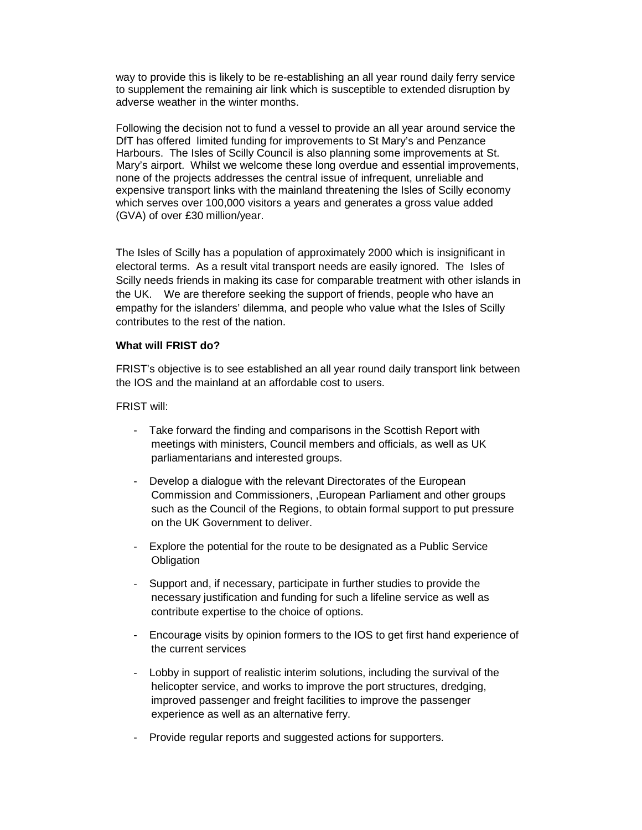way to provide this is likely to be re-establishing an all year round daily ferry service to supplement the remaining air link which is susceptible to extended disruption by adverse weather in the winter months.

Following the decision not to fund a vessel to provide an all year around service the DfT has offered limited funding for improvements to St Mary's and Penzance Harbours. The Isles of Scilly Council is also planning some improvements at St. Mary's airport. Whilst we welcome these long overdue and essential improvements, none of the projects addresses the central issue of infrequent, unreliable and expensive transport links with the mainland threatening the Isles of Scilly economy which serves over 100,000 visitors a years and generates a gross value added (GVA) of over £30 million/year.

The Isles of Scilly has a population of approximately 2000 which is insignificant in electoral terms. As a result vital transport needs are easily ignored. The Isles of Scilly needs friends in making its case for comparable treatment with other islands in the UK. We are therefore seeking the support of friends, people who have an empathy for the islanders' dilemma, and people who value what the Isles of Scilly contributes to the rest of the nation.

# **What will FRIST do?**

FRIST's objective is to see established an all year round daily transport link between the IOS and the mainland at an affordable cost to users.

# FRIST will:

- Take forward the finding and comparisons in the Scottish Report with meetings with ministers, Council members and officials, as well as UK parliamentarians and interested groups.
- Develop a dialogue with the relevant Directorates of the European Commission and Commissioners, ,European Parliament and other groups such as the Council of the Regions, to obtain formal support to put pressure on the UK Government to deliver.
- Explore the potential for the route to be designated as a Public Service **Obligation**
- Support and, if necessary, participate in further studies to provide the necessary justification and funding for such a lifeline service as well as contribute expertise to the choice of options.
- Encourage visits by opinion formers to the IOS to get first hand experience of the current services
- Lobby in support of realistic interim solutions, including the survival of the helicopter service, and works to improve the port structures, dredging, improved passenger and freight facilities to improve the passenger experience as well as an alternative ferry.
- Provide regular reports and suggested actions for supporters.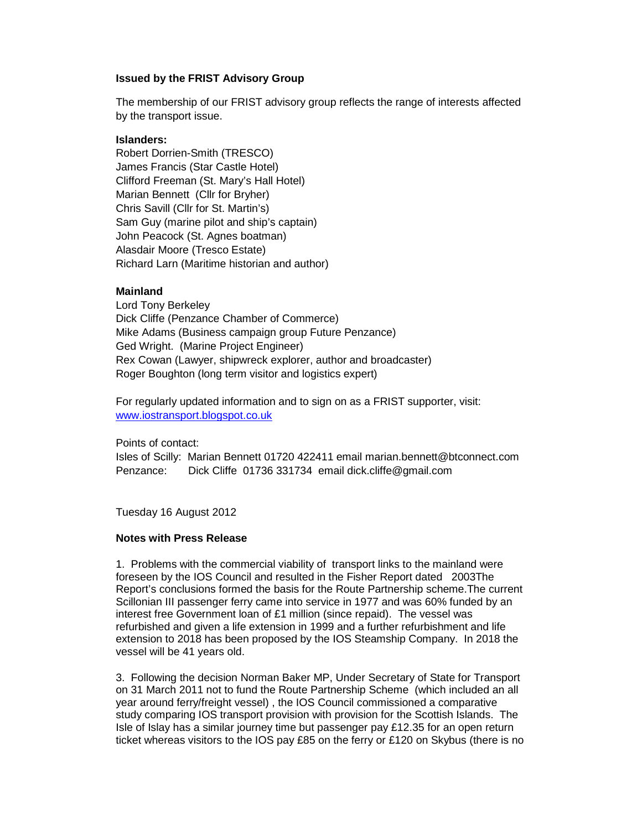## **Issued by the FRIST Advisory Group**

The membership of our FRIST advisory group reflects the range of interests affected by the transport issue.

# **Islanders:**

Robert Dorrien-Smith (TRESCO) James Francis (Star Castle Hotel) Clifford Freeman (St. Mary's Hall Hotel) Marian Bennett (Cllr for Bryher) Chris Savill (Cllr for St. Martin's) Sam Guy (marine pilot and ship's captain) John Peacock (St. Agnes boatman) Alasdair Moore (Tresco Estate) Richard Larn (Maritime historian and author)

# **Mainland**

Lord Tony Berkeley Dick Cliffe (Penzance Chamber of Commerce) Mike Adams (Business campaign group Future Penzance) Ged Wright. (Marine Project Engineer) Rex Cowan (Lawyer, shipwreck explorer, author and broadcaster) Roger Boughton (long term visitor and logistics expert)

For regularly updated information and to sign on as a FRIST supporter, visit: www.iostransport.blogspot.co.uk

Points of contact:

Isles of Scilly: Marian Bennett 01720 422411 email marian.bennett@btconnect.com Penzance: Dick Cliffe 01736 331734 email dick.cliffe@gmail.com

Tuesday 16 August 2012

#### **Notes with Press Release**

1. Problems with the commercial viability of transport links to the mainland were foreseen by the IOS Council and resulted in the Fisher Report dated 2003The Report's conclusions formed the basis for the Route Partnership scheme.The current Scillonian III passenger ferry came into service in 1977 and was 60% funded by an interest free Government loan of £1 million (since repaid). The vessel was refurbished and given a life extension in 1999 and a further refurbishment and life extension to 2018 has been proposed by the IOS Steamship Company. In 2018 the vessel will be 41 years old.

3. Following the decision Norman Baker MP, Under Secretary of State for Transport on 31 March 2011 not to fund the Route Partnership Scheme (which included an all year around ferry/freight vessel) , the IOS Council commissioned a comparative study comparing IOS transport provision with provision for the Scottish Islands. The Isle of Islay has a similar journey time but passenger pay  $£12.35$  for an open return ticket whereas visitors to the IOS pay £85 on the ferry or £120 on Skybus (there is no